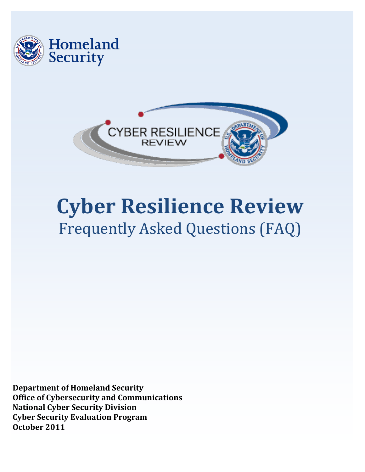



# **Cyber Resilience Review** Frequently Asked Questions (FAQ)

**Department of Homeland Security Office of Cybersecurity and Communications National Cyber Security Division Cyber Security Evaluation Program October 2011**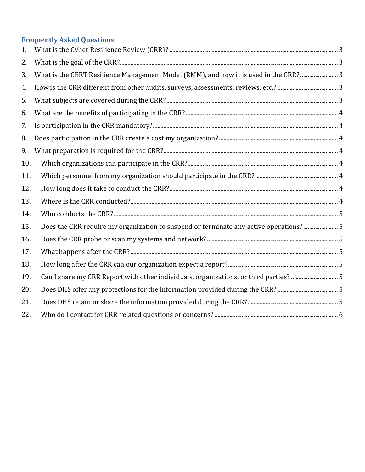## **Frequently Asked Questions**

| 1.  |                                                                                       |  |
|-----|---------------------------------------------------------------------------------------|--|
| 2.  |                                                                                       |  |
| 3.  | What is the CERT Resilience Management Model (RMM), and how it is used in the CRR?  3 |  |
| 4.  |                                                                                       |  |
| 5.  |                                                                                       |  |
| 6.  |                                                                                       |  |
| 7.  |                                                                                       |  |
| 8.  |                                                                                       |  |
| 9.  |                                                                                       |  |
| 10. |                                                                                       |  |
| 11. |                                                                                       |  |
| 12. |                                                                                       |  |
| 13. |                                                                                       |  |
| 14. |                                                                                       |  |
| 15. | Does the CRR require my organization to suspend or terminate any active operations?5  |  |
| 16. |                                                                                       |  |
| 17. |                                                                                       |  |
| 18. |                                                                                       |  |
| 19. | Can I share my CRR Report with other individuals, organizations, or third parties? 5  |  |
| 20. |                                                                                       |  |
| 21. |                                                                                       |  |
| 22. |                                                                                       |  |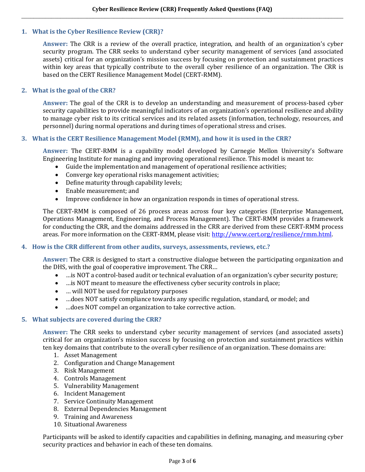#### <span id="page-2-0"></span>**1. What is the Cyber Resilience Review (CRR)?**

**Answer:** The CRR is a review of the overall practice, integration, and health of an organization's cyber security program. The CRR seeks to understand cyber security management of services (and associated assets) critical for an organization's mission success by focusing on protection and sustainment practices within key areas that typically contribute to the overall cyber resilience of an organization. The CRR is based on the CERT Resilience Management Model (CERT-RMM).

#### <span id="page-2-1"></span>**2. What is the goal of the CRR?**

**Answer:** The goal of the CRR is to develop an understanding and measurement of process-based cyber security capabilities to provide meaningful indicators of an organization's operational resilience and ability to manage cyber risk to its critical services and its related assets (information, technology, resources, and personnel) during normal operations and during times of operational stress and crises.

#### <span id="page-2-2"></span>**3. What is the CERT Resilience Management Model (RMM), and how it is used in the CRR?**

**Answer:** The CERT-RMM is a capability model developed by Carnegie Mellon University's Software Engineering Institute for managing and improving operational resilience. This model is meant to:

- Guide the implementation and management of operational resilience activities;
- Converge key operational risks management activities;
- Define maturity through capability levels;
- Enable measurement; and
- Improve confidence in how an organization responds in times of operational stress.

The CERT-RMM is composed of 26 process areas across four key categories (Enterprise Management, Operations Management, Engineering, and Process Management). The CERT-RMM provides a framework for conducting the CRR, and the domains addressed in the CRR are derived from these CERT-RMM process areas. For more information on the CERT-RMM, please visit[: http://www.cert.org/resilience/rmm.html.](http://www.cert.org/resilience/rmm.html)

#### <span id="page-2-3"></span>**4. How is the CRR different from other audits, surveys, assessments, reviews, etc.?**

**Answer:** The CRR is designed to start a constructive dialogue between the participating organization and the DHS, with the goal of cooperative improvement. The CRR…

- …is NOT a control-based audit or technical evaluation of an organization's cyber security posture;
- ... is NOT meant to measure the effectiveness cyber security controls in place;
- ... will NOT be used for regulatory purposes
- …does NOT satisfy compliance towards any specific regulation, standard, or model; and
- …does NOT compel an organization to take corrective action.

#### <span id="page-2-4"></span>**5. What subjects are covered during the CRR?**

**Answer:** The CRR seeks to understand cyber security management of services (and associated assets) critical for an organization's mission success by focusing on protection and sustainment practices within ten key domains that contribute to the overall cyber resilience of an organization. These domains are:

- 1. Asset Management
- 2. Configuration and Change Management
- 3. Risk Management
- 4. Controls Management
- 5. Vulnerability Management
- 6. Incident Management
- 7. Service Continuity Management
- 8. External Dependencies Management
- 9. Training and Awareness
- 10. Situational Awareness

Participants will be asked to identify capacities and capabilities in defining, managing, and measuring cyber security practices and behavior in each of these ten domains.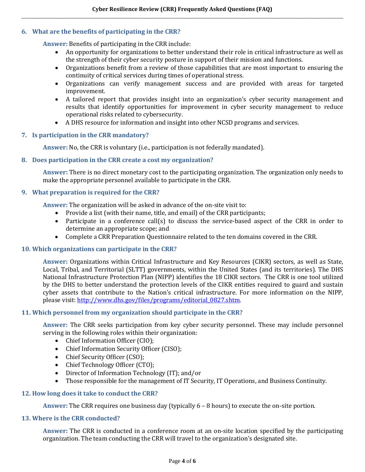#### <span id="page-3-0"></span>**6. What are the benefits of participating in the CRR?**

**Answer:** Benefits of participating in the CRR include:

- An opportunity for organizations to better understand their role in critical infrastructure as well as the strength of their cyber security posture in support of their mission and functions.
- Organizations benefit from a review of those capabilities that are most important to ensuring the continuity of critical services during times of operational stress.
- Organizations can verify management success and are provided with areas for targeted improvement.
- A tailored report that provides insight into an organization's cyber security management and results that identify opportunities for improvement in cyber security management to reduce operational risks related to cybersecurity.
- A DHS resource for information and insight into other NCSD programs and services.

#### <span id="page-3-1"></span>**7. Is participation in the CRR mandatory?**

**Answer:** No, the CRR is voluntary (i.e., participation is not federally mandated).

#### <span id="page-3-2"></span>**8. Does participation in the CRR create a cost my organization?**

**Answer:** There is no direct monetary cost to the participating organization. The organization only needs to make the appropriate personnel available to participate in the CRR.

#### <span id="page-3-3"></span>**9. What preparation is required for the CRR?**

**Answer:** The organization will be asked in advance of the on-site visit to:

- Provide a list (with their name, title, and email) of the CRR participants;
- Participate in a conference call(s) to discuss the service-based aspect of the CRR in order to determine an appropriate scope; and
- Complete a CRR Preparation Questionnaire related to the ten domains covered in the CRR.

#### <span id="page-3-4"></span>**10. Which organizations can participate in the CRR?**

**Answer:** Organizations within Critical Infrastructure and Key Resources (CIKR) sectors, as well as State, Local, Tribal, and Territorial (SLTT) governments, within the United States (and its territories). The DHS National Infrastructure Protection Plan (NIPP) identifies the 18 CIKR sectors. The CRR is one tool utilized by the DHS to better understand the protection levels of the CIKR entities required to guard and sustain cyber assets that contribute to the Nation's critical infrastructure. For more information on the NIPP, please visit: [http://www.dhs.gov/files/programs/editorial\\_0827.shtm.](http://www.dhs.gov/files/programs/editorial_0827.shtm)

#### <span id="page-3-5"></span>**11. Which personnel from my organization should participate in the CRR?**

**Answer:** The CRR seeks participation from key cyber security personnel. These may include personnel serving in the following roles within their organization:

- Chief Information Officer (CIO);
- Chief Information Security Officer (CISO);
- Chief Security Officer (CSO);
- Chief Technology Officer (CTO);
- Director of Information Technology (IT); and/or
- Those responsible for the management of IT Security, IT Operations, and Business Continuity.

#### <span id="page-3-6"></span>**12. How long does it take to conduct the CRR?**

**Answer:** The CRR requires one business day (typically 6 – 8 hours) to execute the on-site portion.

#### <span id="page-3-7"></span>**13. Where is the CRR conducted?**

**Answer:** The CRR is conducted in a conference room at an on-site location specified by the participating organization. The team conducting the CRR will travel to the organization's designated site.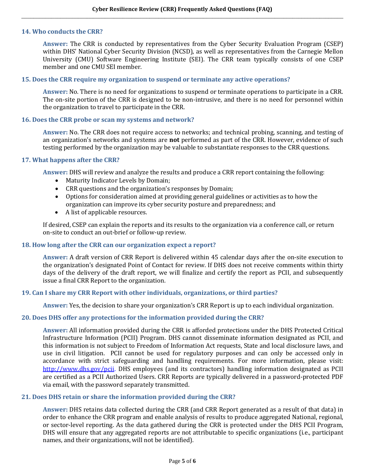#### <span id="page-4-0"></span>**14. Who conducts the CRR?**

**Answer:** The CRR is conducted by representatives from the Cyber Security Evaluation Program (CSEP) within DHS' National Cyber Security Division (NCSD), as well as representatives from the Carnegie Mellon University (CMU) Software Engineering Institute (SEI). The CRR team typically consists of one CSEP member and one CMU SEI member.

#### <span id="page-4-1"></span>**15. Does the CRR require my organization to suspend or terminate any active operations?**

**Answer:** No. There is no need for organizations to suspend or terminate operations to participate in a CRR. The on-site portion of the CRR is designed to be non-intrusive, and there is no need for personnel within the organization to travel to participate in the CRR.

#### <span id="page-4-2"></span>**16. Does the CRR probe or scan my systems and network?**

**Answer:** No. The CRR does not require access to networks; and technical probing, scanning, and testing of an organization's networks and systems are **not** performed as part of the CRR. However, evidence of such testing performed by the organization may be valuable to substantiate responses to the CRR questions.

#### <span id="page-4-3"></span>**17. What happens after the CRR?**

**Answer:** DHS will review and analyze the results and produce a CRR report containing the following:

- Maturity Indicator Levels by Domain;
- CRR questions and the organization's responses by Domain;
- Options for consideration aimed at providing general guidelines or activities as to how the organization can improve its cyber security posture and preparedness; and
- A list of applicable resources.

If desired, CSEP can explain the reports and its results to the organization via a conference call, or return on-site to conduct an out-brief or follow-up review.

#### <span id="page-4-4"></span>**18. How long after the CRR can our organization expect a report?**

**Answer:** A draft version of CRR Report is delivered within 45 calendar days after the on-site execution to the organization's designated Point of Contact for review. If DHS does not receive comments within thirty days of the delivery of the draft report, we will finalize and certify the report as PCII, and subsequently issue a final CRR Report to the organization.

#### <span id="page-4-5"></span>**19. Can I share my CRR Report with other individuals, organizations, or third parties?**

**Answer:** Yes, the decision to share your organization's CRR Report is up to each individual organization.

#### <span id="page-4-6"></span>**20. Does DHS offer any protections for the information provided during the CRR?**

**Answer:** All information provided during the CRR is afforded protections under the DHS Protected Critical Infrastructure Information (PCII) Program. DHS cannot disseminate information designated as PCII, and this information is not subject to Freedom of Information Act requests, State and local disclosure laws, and use in civil litigation. PCII cannot be used for regulatory purposes and can only be accessed only in accordance with strict safeguarding and handling requirements. For more information, please visit: <http://www.dhs.gov/pcii>. DHS employees (and its contractors) handling information designated as PCII are certified as a PCII Authorized Users. CRR Reports are typically delivered in a password-protected PDF via email, with the password separately transmitted.

#### <span id="page-4-7"></span>**21. Does DHS retain or share the information provided during the CRR?**

**Answer:** DHS retains data collected during the CRR (and CRR Report generated as a result of that data) in order to enhance the CRR program and enable analysis of results to produce aggregated National, regional, or sector-level reporting. As the data gathered during the CRR is protected under the DHS PCII Program, DHS will ensure that any aggregated reports are not attributable to specific organizations (i.e., participant names, and their organizations, will not be identified).